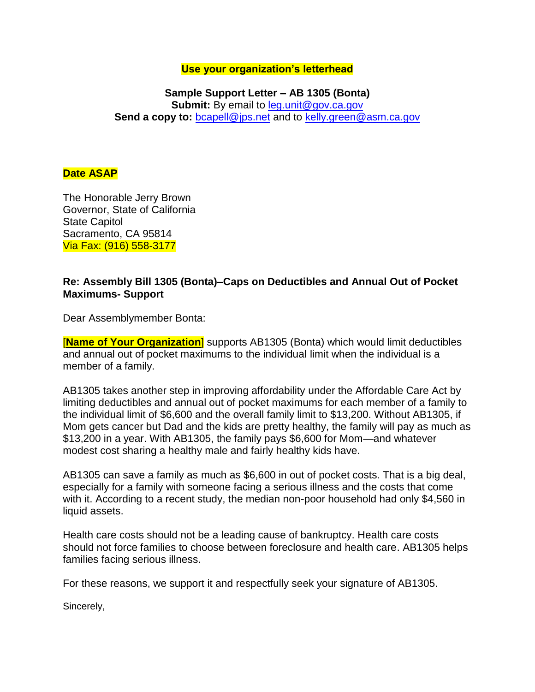## **Use your organization's letterhead**

## **Sample Support Letter – AB 1305 (Bonta) Submit:** By email to leg.unit@gov.ca.gov **Send a copy to:** [bcapell@jps.net](mailto:bcapell@jps.net) and to [kelly.green@asm.ca.gov](mailto:kelly.green@asm.ca.gov)

## **Date ASAP**

The Honorable Jerry Brown Governor, State of California State Capitol Sacramento, CA 95814 Via Fax: (916) 558-3177

## **Re: Assembly Bill 1305 (Bonta)–Caps on Deductibles and Annual Out of Pocket Maximums- Support**

Dear Assemblymember Bonta:

[**Name of Your Organization**] supports AB1305 (Bonta) which would limit deductibles and annual out of pocket maximums to the individual limit when the individual is a member of a family.

AB1305 takes another step in improving affordability under the Affordable Care Act by limiting deductibles and annual out of pocket maximums for each member of a family to the individual limit of \$6,600 and the overall family limit to \$13,200. Without AB1305, if Mom gets cancer but Dad and the kids are pretty healthy, the family will pay as much as \$13,200 in a year. With AB1305, the family pays \$6,600 for Mom—and whatever modest cost sharing a healthy male and fairly healthy kids have.

AB1305 can save a family as much as \$6,600 in out of pocket costs. That is a big deal, especially for a family with someone facing a serious illness and the costs that come with it. According to a recent study, the median non-poor household had only \$4,560 in liquid assets.

Health care costs should not be a leading cause of bankruptcy. Health care costs should not force families to choose between foreclosure and health care. AB1305 helps families facing serious illness.

For these reasons, we support it and respectfully seek your signature of AB1305.

Sincerely,